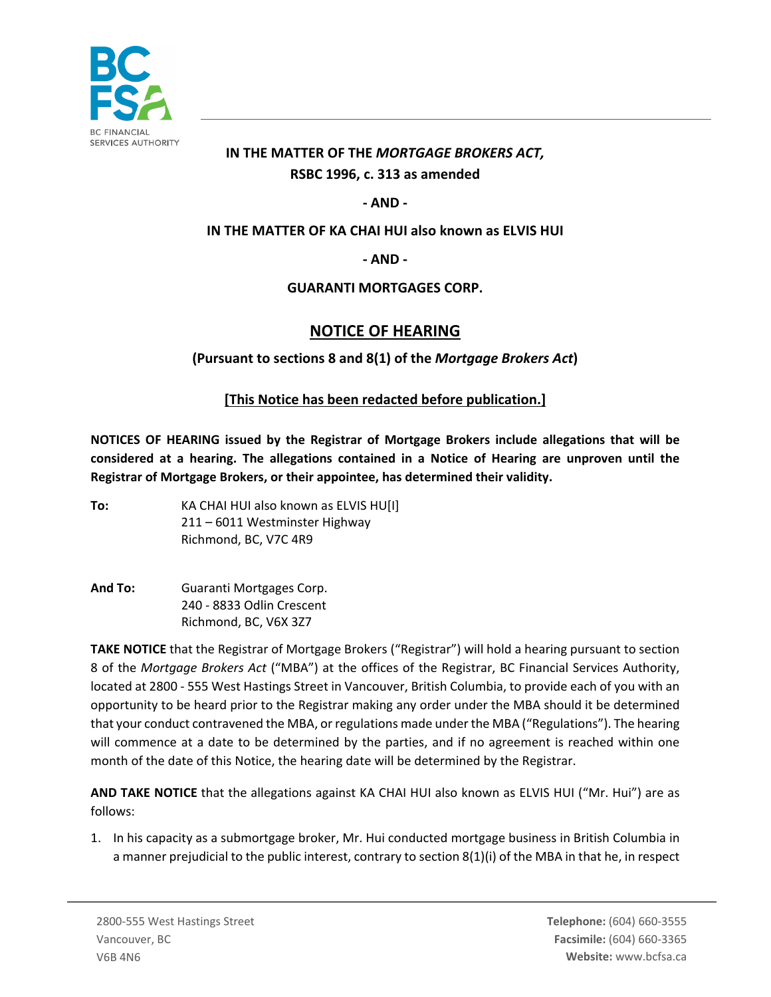

# **IN THE MATTER OF THE** *MORTGAGE BROKERS ACT,* **RSBC 1996, c. 313 as amended**

## **- AND -**

#### **IN THE MATTER OF KA CHAI HUI also known as ELVIS HUI**

#### **- AND -**

#### **GUARANTI MORTGAGES CORP.**

# **NOTICE OF HEARING**

## **(Pursuant to sections 8 and 8(1) of the** *Mortgage Brokers Act***)**

## **[This Notice has been redacted before publication.]**

**NOTICES OF HEARING issued by the Registrar of Mortgage Brokers include allegations that will be considered at a hearing. The allegations contained in a Notice of Hearing are unproven until the Registrar of Mortgage Brokers, or their appointee, has determined their validity.** 

- **To:** KA CHAI HUI also known as ELVIS HU[I] 211 – 6011 Westminster Highway Richmond, BC, V7C 4R9
- **And To:** Guaranti Mortgages Corp. 240 - 8833 Odlin Crescent Richmond, BC, V6X 3Z7

**TAKE NOTICE** that the Registrar of Mortgage Brokers ("Registrar") will hold a hearing pursuant to section 8 of the *Mortgage Brokers Act* ("MBA") at the offices of the Registrar, BC Financial Services Authority, located at 2800 - 555 West Hastings Street in Vancouver, British Columbia, to provide each of you with an opportunity to be heard prior to the Registrar making any order under the MBA should it be determined that your conduct contravened the MBA, or regulations made under the MBA ("Regulations"). The hearing will commence at a date to be determined by the parties, and if no agreement is reached within one month of the date of this Notice, the hearing date will be determined by the Registrar.

**AND TAKE NOTICE** that the allegations against KA CHAI HUI also known as ELVIS HUI ("Mr. Hui") are as follows:

1. In his capacity as a submortgage broker, Mr. Hui conducted mortgage business in British Columbia in a manner prejudicial to the public interest, contrary to section 8(1)(i) of the MBA in that he, in respect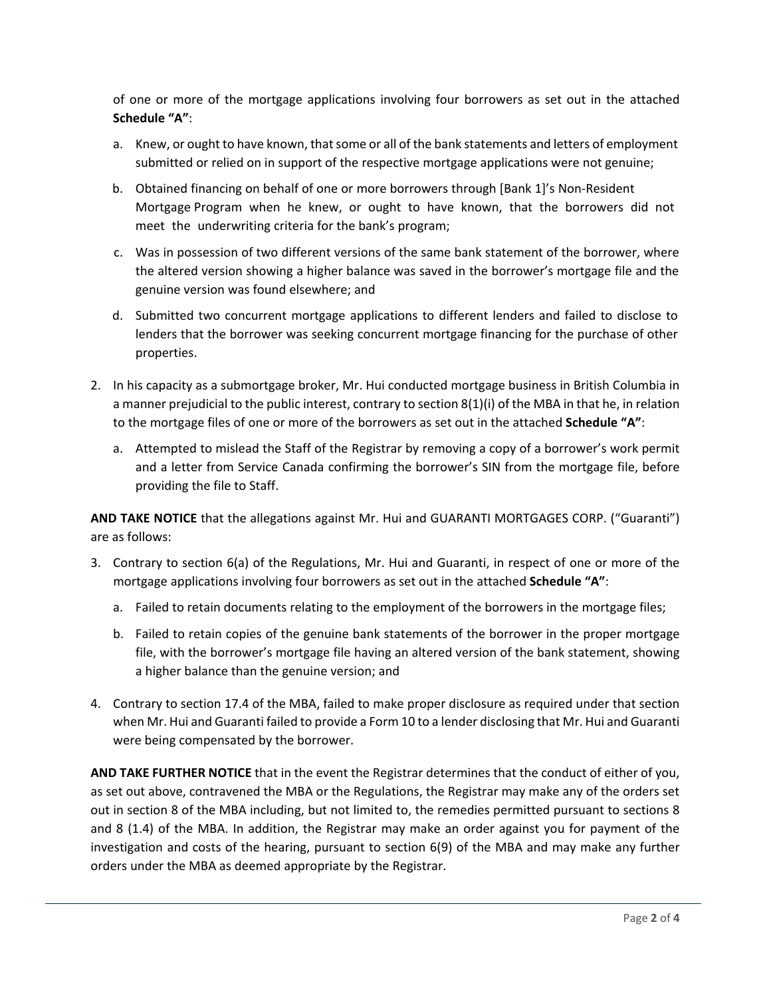of one or more of the mortgage applications involving four borrowers as set out in the attached **Schedule "A"**:

- a. Knew, or ought to have known, that some or all of the bank statements and letters of employment submitted or relied on in support of the respective mortgage applications were not genuine;
- b. Obtained financing on behalf of one or more borrowers through [Bank 1]'s Non-Resident Mortgage Program when he knew, or ought to have known, that the borrowers did not meet the underwriting criteria for the bank's program;
- c. Was in possession of two different versions of the same bank statement of the borrower, where the altered version showing a higher balance was saved in the borrower's mortgage file and the genuine version was found elsewhere; and
- d. Submitted two concurrent mortgage applications to different lenders and failed to disclose to lenders that the borrower was seeking concurrent mortgage financing for the purchase of other properties.
- 2. In his capacity as a submortgage broker, Mr. Hui conducted mortgage business in British Columbia in a manner prejudicial to the public interest, contrary to section 8(1)(i) of the MBA in that he, in relation to the mortgage files of one or more of the borrowers as set out in the attached **Schedule "A"**:
	- a. Attempted to mislead the Staff of the Registrar by removing a copy of a borrower's work permit and a letter from Service Canada confirming the borrower's SIN from the mortgage file, before providing the file to Staff.

**AND TAKE NOTICE** that the allegations against Mr. Hui and GUARANTI MORTGAGES CORP. ("Guaranti") are as follows:

- 3. Contrary to section 6(a) of the Regulations, Mr. Hui and Guaranti, in respect of one or more of the mortgage applications involving four borrowers as set out in the attached **Schedule "A"**:
	- a. Failed to retain documents relating to the employment of the borrowers in the mortgage files;
	- b. Failed to retain copies of the genuine bank statements of the borrower in the proper mortgage file, with the borrower's mortgage file having an altered version of the bank statement, showing a higher balance than the genuine version; and
- 4. Contrary to section 17.4 of the MBA, failed to make proper disclosure as required under that section when Mr. Hui and Guaranti failed to provide a Form 10 to a lender disclosing that Mr. Hui and Guaranti were being compensated by the borrower.

**AND TAKE FURTHER NOTICE** that in the event the Registrar determines that the conduct of either of you, as set out above, contravened the MBA or the Regulations, the Registrar may make any of the orders set out in section 8 of the MBA including, but not limited to, the remedies permitted pursuant to sections 8 and 8 (1.4) of the MBA. In addition, the Registrar may make an order against you for payment of the investigation and costs of the hearing, pursuant to section 6(9) of the MBA and may make any further orders under the MBA as deemed appropriate by the Registrar.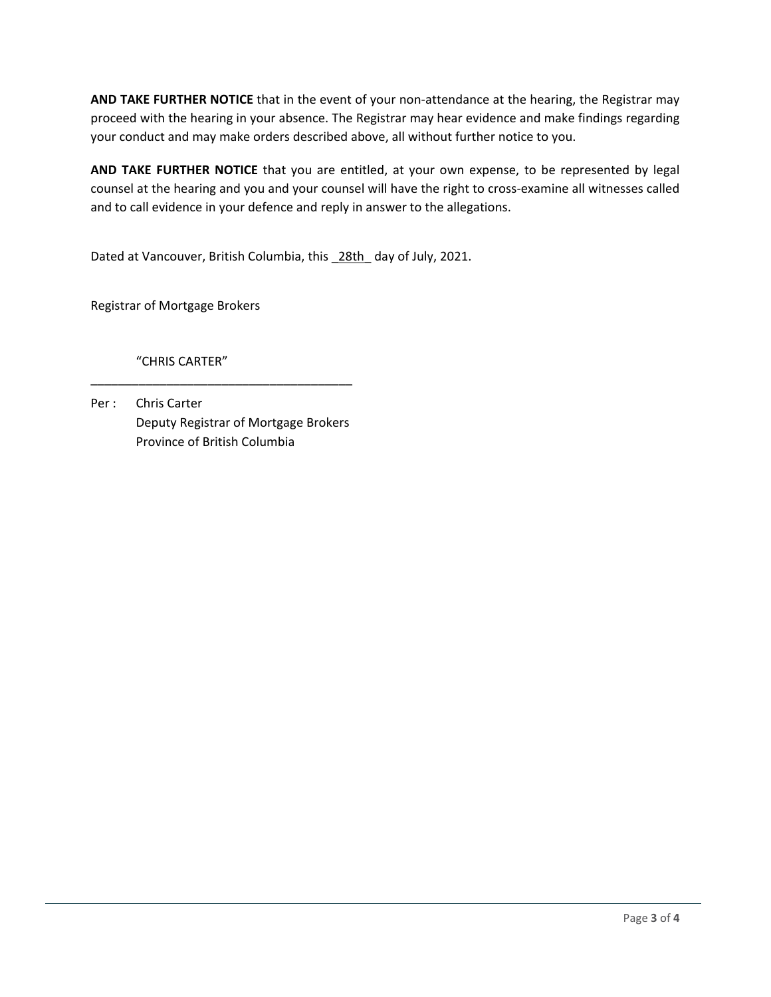**AND TAKE FURTHER NOTICE** that in the event of your non-attendance at the hearing, the Registrar may proceed with the hearing in your absence. The Registrar may hear evidence and make findings regarding your conduct and may make orders described above, all without further notice to you.

**AND TAKE FURTHER NOTICE** that you are entitled, at your own expense, to be represented by legal counsel at the hearing and you and your counsel will have the right to cross-examine all witnesses called and to call evidence in your defence and reply in answer to the allegations.

Dated at Vancouver, British Columbia, this \_28th\_ day of July, 2021.

Registrar of Mortgage Brokers

"CHRIS CARTER"

Per : Chris Carter Deputy Registrar of Mortgage Brokers Province of British Columbia

\_\_\_\_\_\_\_\_\_\_\_\_\_\_\_\_\_\_\_\_\_\_\_\_\_\_\_\_\_\_\_\_\_\_\_\_\_\_